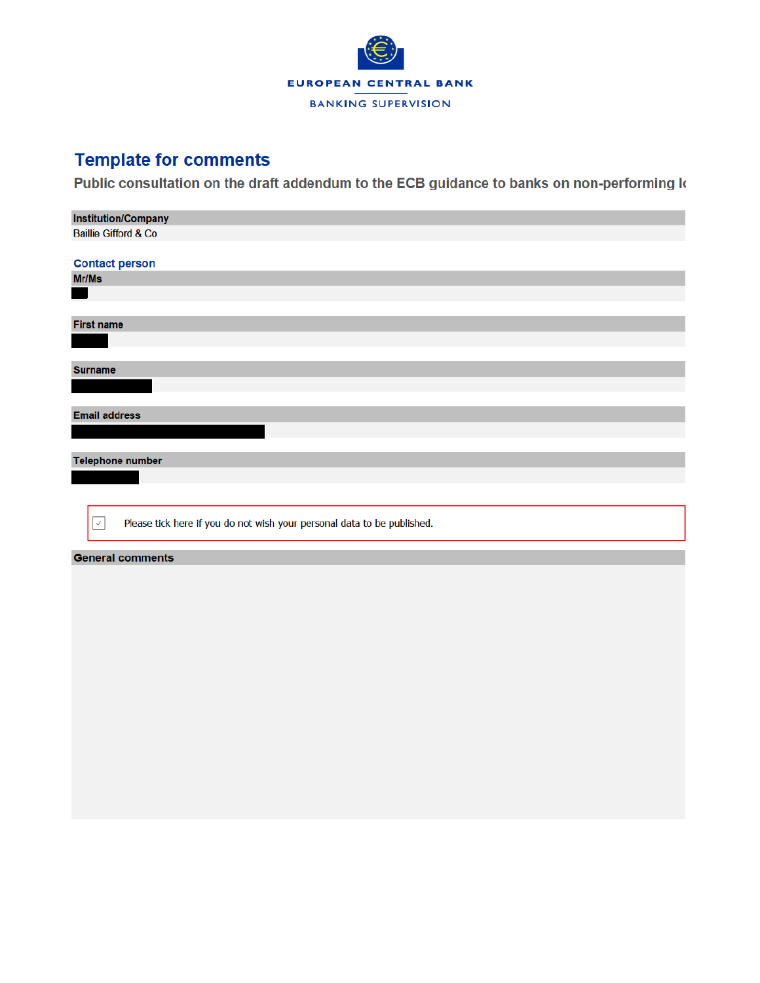

## **Template for comments**

Public consultation on the draft addendum to the ECB guidance to banks on non-performing k

| <b>Institution/Company</b>                                                              |
|-----------------------------------------------------------------------------------------|
| <b>Baillie Gifford &amp; Co</b>                                                         |
|                                                                                         |
| <b>Contact person</b>                                                                   |
| Mr/Ms                                                                                   |
|                                                                                         |
|                                                                                         |
| <b>First name</b>                                                                       |
|                                                                                         |
|                                                                                         |
| <b>Surname</b>                                                                          |
|                                                                                         |
|                                                                                         |
| <b>Email address</b>                                                                    |
|                                                                                         |
|                                                                                         |
| Telephone number                                                                        |
|                                                                                         |
|                                                                                         |
|                                                                                         |
|                                                                                         |
| Please tick here if you do not wish your personal data to be published.<br>$\checkmark$ |
|                                                                                         |
| <b>General comments</b>                                                                 |
|                                                                                         |
|                                                                                         |
|                                                                                         |
|                                                                                         |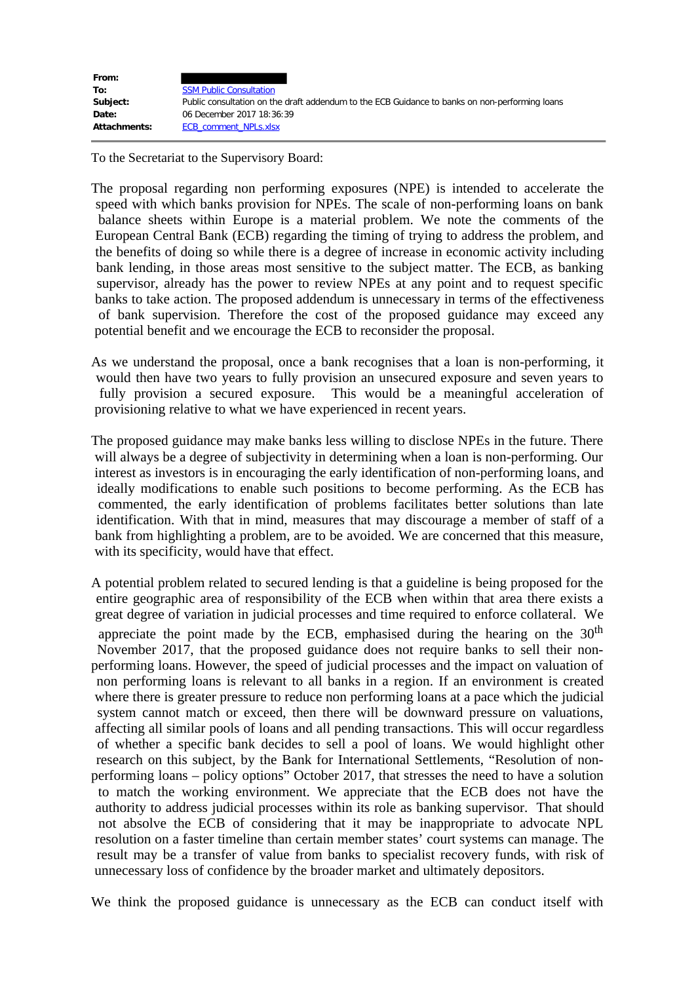| From:        |                                                                                                |
|--------------|------------------------------------------------------------------------------------------------|
| To:          | <b>SSM Public Consultation</b>                                                                 |
| Subject:     | Public consultation on the draft addendum to the ECB Guidance to banks on non-performing loans |
| Date:        | 06 December 2017 18:36:39                                                                      |
| Attachments: | <b>ECB comment NPLs.xlsx</b>                                                                   |

To the Secretariat to the Supervisory Board:

The proposal regarding non performing exposures (NPE) is intended to accelerate the speed with which banks provision for NPEs. The scale of non-performing loans on bank balance sheets within Europe is a material problem. We note the comments of the European Central Bank (ECB) regarding the timing of trying to address the problem, and the benefits of doing so while there is a degree of increase in economic activity including bank lending, in those areas most sensitive to the subject matter. The ECB, as banking supervisor, already has the power to review NPEs at any point and to request specific banks to take action. The proposed addendum is unnecessary in terms of the effectiveness of bank supervision. Therefore the cost of the proposed guidance may exceed any potential benefit and we encourage the ECB to reconsider the proposal.

As we understand the proposal, once a bank recognises that a loan is non-performing, it would then have two years to fully provision an unsecured exposure and seven years to fully provision a secured exposure. This would be a meaningful acceleration of provisioning relative to what we have experienced in recent years.

The proposed guidance may make banks less willing to disclose NPEs in the future. There will always be a degree of subjectivity in determining when a loan is non-performing. Our interest as investors is in encouraging the early identification of non-performing loans, and ideally modifications to enable such positions to become performing. As the ECB has commented, the early identification of problems facilitates better solutions than late identification. With that in mind, measures that may discourage a member of staff of a bank from highlighting a problem, are to be avoided. We are concerned that this measure, with its specificity, would have that effect.

A potential problem related to secured lending is that a guideline is being proposed for the entire geographic area of responsibility of the ECB when within that area there exists a great degree of variation in judicial processes and time required to enforce collateral. We appreciate the point made by the ECB, emphasised during the hearing on the  $30<sup>th</sup>$  November 2017, that the proposed guidance does not require banks to sell their nonperforming loans. However, the speed of judicial processes and the impact on valuation of non performing loans is relevant to all banks in a region. If an environment is created where there is greater pressure to reduce non performing loans at a pace which the judicial system cannot match or exceed, then there will be downward pressure on valuations, affecting all similar pools of loans and all pending transactions. This will occur regardless of whether a specific bank decides to sell a pool of loans. We would highlight other research on this subject, by the Bank for International Settlements, "Resolution of nonperforming loans – policy options" October 2017, that stresses the need to have a solution to match the working environment. We appreciate that the ECB does not have the authority to address judicial processes within its role as banking supervisor. That should not absolve the ECB of considering that it may be inappropriate to advocate NPL resolution on a faster timeline than certain member states' court systems can manage. The result may be a transfer of value from banks to specialist recovery funds, with risk of unnecessary loss of confidence by the broader market and ultimately depositors.

We think the proposed guidance is unnecessary as the ECB can conduct itself with